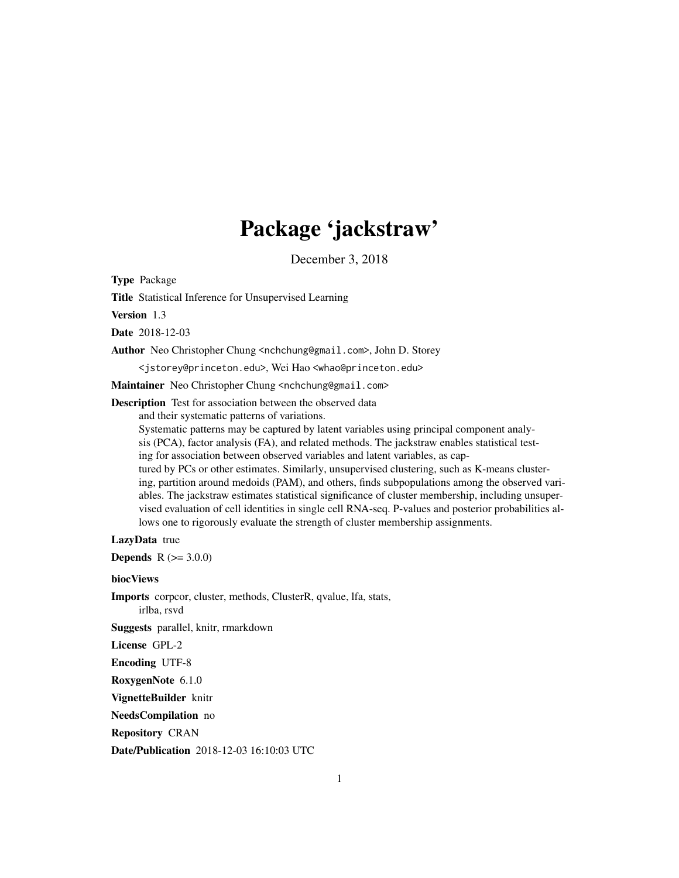# Package 'jackstraw'

December 3, 2018

Type Package

Title Statistical Inference for Unsupervised Learning

Version 1.3

Date 2018-12-03

Author Neo Christopher Chung <nchchung@gmail.com>, John D. Storey

<jstorey@princeton.edu>, Wei Hao <whao@princeton.edu>

Maintainer Neo Christopher Chung <nchchung@gmail.com>

Description Test for association between the observed data

and their systematic patterns of variations.

Systematic patterns may be captured by latent variables using principal component analysis (PCA), factor analysis (FA), and related methods. The jackstraw enables statistical testing for association between observed variables and latent variables, as captured by PCs or other estimates. Similarly, unsupervised clustering, such as K-means clustering, partition around medoids (PAM), and others, finds subpopulations among the observed variables. The jackstraw estimates statistical significance of cluster membership, including unsupervised evaluation of cell identities in single cell RNA-seq. P-values and posterior probabilities allows one to rigorously evaluate the strength of cluster membership assignments.

#### LazyData true

**Depends**  $R (= 3.0.0)$ 

biocViews

Imports corpcor, cluster, methods, ClusterR, qvalue, lfa, stats, irlba, rsvd

Suggests parallel, knitr, rmarkdown

License GPL-2

Encoding UTF-8

RoxygenNote 6.1.0

VignetteBuilder knitr

NeedsCompilation no

Repository CRAN

Date/Publication 2018-12-03 16:10:03 UTC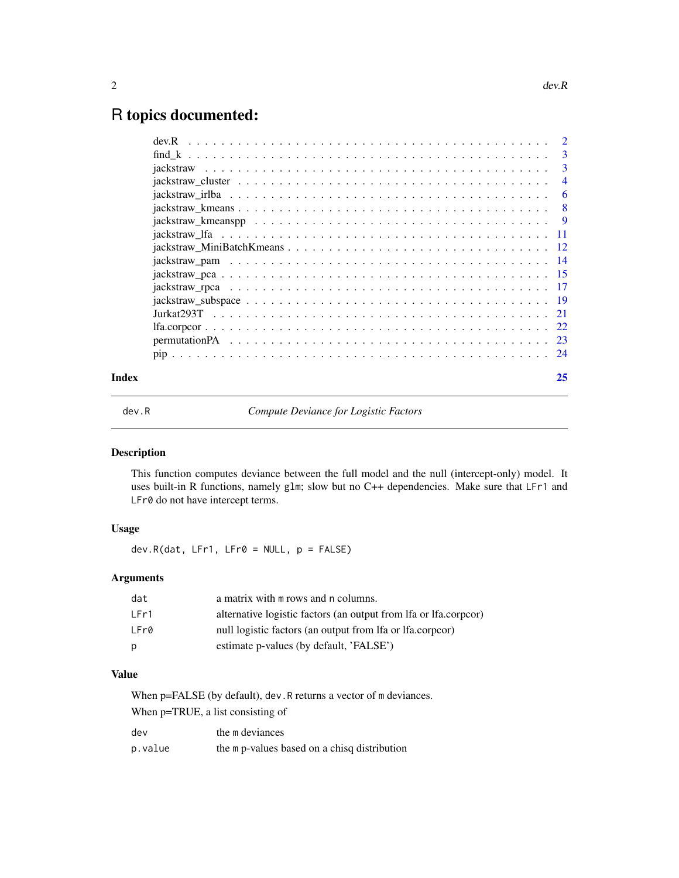# <span id="page-1-0"></span>R topics documented:

|       |  |  | 25             |
|-------|--|--|----------------|
|       |  |  |                |
|       |  |  |                |
|       |  |  |                |
|       |  |  |                |
|       |  |  |                |
|       |  |  |                |
|       |  |  |                |
|       |  |  |                |
|       |  |  |                |
|       |  |  |                |
|       |  |  |                |
|       |  |  |                |
|       |  |  | -6             |
|       |  |  | $\overline{4}$ |
|       |  |  | 3              |
|       |  |  | -3             |
| dev.R |  |  |                |

dev.R *Compute Deviance for Logistic Factors*

#### Description

This function computes deviance between the full model and the null (intercept-only) model. It uses built-in R functions, namely glm; slow but no C++ dependencies. Make sure that LFr1 and LFr0 do not have intercept terms.

# Usage

 $dev.R(data, LFr1, LFr0 = NULL, p = FALSE)$ 

# Arguments

| dat  | a matrix with m rows and n columns.                              |
|------|------------------------------------------------------------------|
| LFr1 | alternative logistic factors (an output from lfa or lfa.corpcor) |
| LFr0 | null logistic factors (an output from lfa or lfa.corpcor)        |
| р    | estimate p-values (by default, 'FALSE')                          |

# Value

When p=FALSE (by default), dev.R returns a vector of m deviances. When p=TRUE, a list consisting of

| dev     | the m deviances                              |
|---------|----------------------------------------------|
| p.value | the m p-values based on a chisq distribution |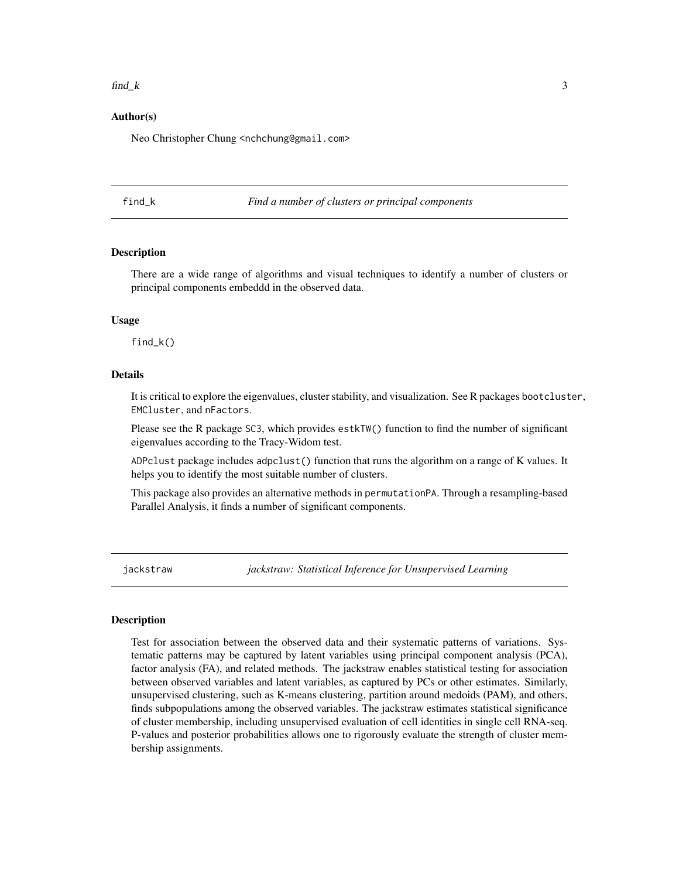#### <span id="page-2-0"></span> $\text{find}\_k$  3

#### Author(s)

Neo Christopher Chung <nchchung@gmail.com>

find\_k *Find a number of clusters or principal components*

#### **Description**

There are a wide range of algorithms and visual techniques to identify a number of clusters or principal components embeddd in the observed data.

#### Usage

find\_k()

#### Details

It is critical to explore the eigenvalues, cluster stability, and visualization. See R packages bootcluster, EMCluster, and nFactors.

Please see the R package SC3, which provides estkTW() function to find the number of significant eigenvalues according to the Tracy-Widom test.

ADPclust package includes adpclust() function that runs the algorithm on a range of K values. It helps you to identify the most suitable number of clusters.

This package also provides an alternative methods in permutationPA. Through a resampling-based Parallel Analysis, it finds a number of significant components.

<span id="page-2-1"></span>jackstraw *jackstraw: Statistical Inference for Unsupervised Learning*

#### **Description**

Test for association between the observed data and their systematic patterns of variations. Systematic patterns may be captured by latent variables using principal component analysis (PCA), factor analysis (FA), and related methods. The jackstraw enables statistical testing for association between observed variables and latent variables, as captured by PCs or other estimates. Similarly, unsupervised clustering, such as K-means clustering, partition around medoids (PAM), and others, finds subpopulations among the observed variables. The jackstraw estimates statistical significance of cluster membership, including unsupervised evaluation of cell identities in single cell RNA-seq. P-values and posterior probabilities allows one to rigorously evaluate the strength of cluster membership assignments.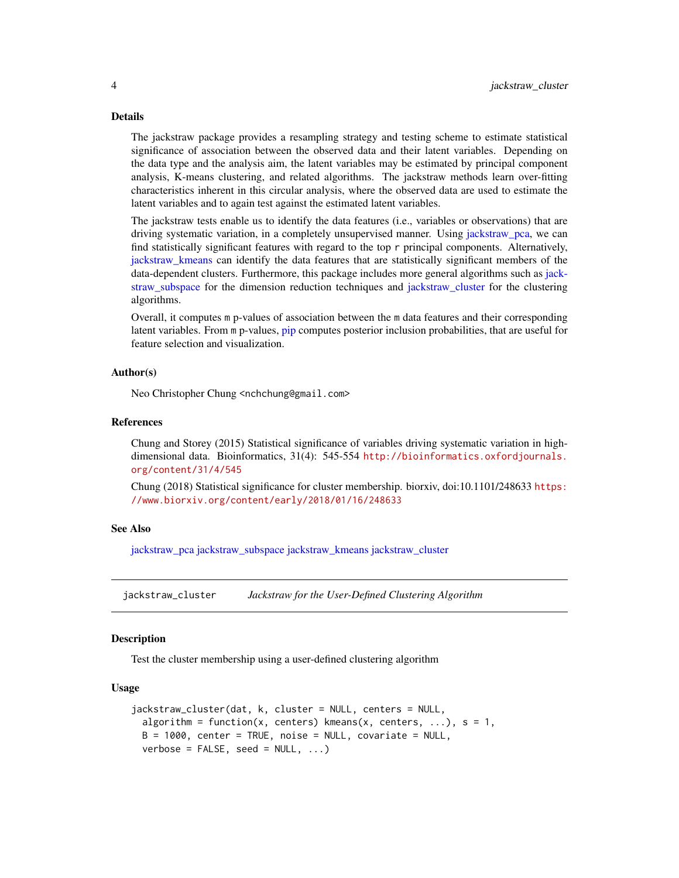#### Details

The jackstraw package provides a resampling strategy and testing scheme to estimate statistical significance of association between the observed data and their latent variables. Depending on the data type and the analysis aim, the latent variables may be estimated by principal component analysis, K-means clustering, and related algorithms. The jackstraw methods learn over-fitting characteristics inherent in this circular analysis, where the observed data are used to estimate the latent variables and to again test against the estimated latent variables.

The jackstraw tests enable us to identify the data features (i.e., variables or observations) that are driving systematic variation, in a completely unsupervised manner. Using [jackstraw\\_pca,](#page-14-1) we can find statistically significant features with regard to the top r principal components. Alternatively, [jackstraw\\_kmeans](#page-7-1) can identify the data features that are statistically significant members of the data-dependent clusters. Furthermore, this package includes more general algorithms such as [jack](#page-18-1)[straw\\_subspace](#page-18-1) for the dimension reduction techniques and [jackstraw\\_cluster](#page-3-1) for the clustering algorithms.

Overall, it computes m p-values of association between the m data features and their corresponding latent variables. From m p-values, [pip](#page-23-1) computes posterior inclusion probabilities, that are useful for feature selection and visualization.

#### Author(s)

Neo Christopher Chung <nchchung@gmail.com>

#### References

Chung and Storey (2015) Statistical significance of variables driving systematic variation in highdimensional data. Bioinformatics, 31(4): 545-554 [http://bioinformatics.oxfordjournals.](http://bioinformatics.oxfordjournals.org/content/31/4/545) [org/content/31/4/545](http://bioinformatics.oxfordjournals.org/content/31/4/545)

Chung (2018) Statistical significance for cluster membership. biorxiv, doi:10.1101/248633 [https:](https://www.biorxiv.org/content/early/2018/01/16/248633) [//www.biorxiv.org/content/early/2018/01/16/248633](https://www.biorxiv.org/content/early/2018/01/16/248633)

#### See Also

[jackstraw\\_pca](#page-14-1) [jackstraw\\_subspace](#page-18-1) [jackstraw\\_kmeans](#page-7-1) [jackstraw\\_cluster](#page-3-1)

<span id="page-3-1"></span>jackstraw\_cluster *Jackstraw for the User-Defined Clustering Algorithm*

#### **Description**

Test the cluster membership using a user-defined clustering algorithm

#### Usage

```
jackstraw_cluster(dat, k, cluster = NULL, centers = NULL,
 algorithm = function(x, centers) kmeans(x, centers, ...), s = 1,
 B = 1000, center = TRUE, noise = NULL, covariate = NULL,
 verbose = FALSE, seed = NULL, ...
```
<span id="page-3-0"></span>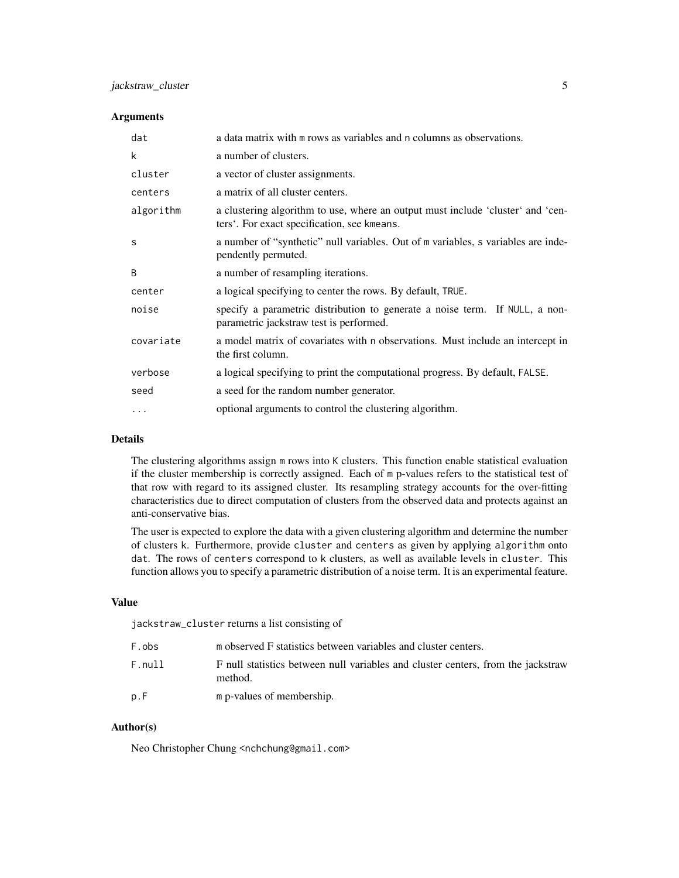#### Arguments

| dat       | a data matrix with m rows as variables and n columns as observations.                                                          |
|-----------|--------------------------------------------------------------------------------------------------------------------------------|
| k         | a number of clusters.                                                                                                          |
| cluster   | a vector of cluster assignments.                                                                                               |
| centers   | a matrix of all cluster centers.                                                                                               |
| algorithm | a clustering algorithm to use, where an output must include 'cluster' and 'cen-<br>ters'. For exact specification, see kmeans. |
| S         | a number of "synthetic" null variables. Out of m variables, s variables are inde-<br>pendently permuted.                       |
| B         | a number of resampling iterations.                                                                                             |
| center    | a logical specifying to center the rows. By default, TRUE.                                                                     |
| noise     | specify a parametric distribution to generate a noise term. If NULL, a non-<br>parametric jackstraw test is performed.         |
| covariate | a model matrix of covariates with n observations. Must include an intercept in<br>the first column.                            |
| verbose   | a logical specifying to print the computational progress. By default, FALSE.                                                   |
| seed      | a seed for the random number generator.                                                                                        |
| .         | optional arguments to control the clustering algorithm.                                                                        |

# Details

The clustering algorithms assign m rows into K clusters. This function enable statistical evaluation if the cluster membership is correctly assigned. Each of m p-values refers to the statistical test of that row with regard to its assigned cluster. Its resampling strategy accounts for the over-fitting characteristics due to direct computation of clusters from the observed data and protects against an anti-conservative bias.

The user is expected to explore the data with a given clustering algorithm and determine the number of clusters k. Furthermore, provide cluster and centers as given by applying algorithm onto dat. The rows of centers correspond to k clusters, as well as available levels in cluster. This function allows you to specify a parametric distribution of a noise term. It is an experimental feature.

#### Value

jackstraw\_cluster returns a list consisting of

| F.obs  | m observed F statistics between variables and cluster centers.                              |
|--------|---------------------------------------------------------------------------------------------|
| F.null | F null statistics between null variables and cluster centers, from the jackstraw<br>method. |
| p.F    | m p-values of membership.                                                                   |

# Author(s)

Neo Christopher Chung <nchchung@gmail.com>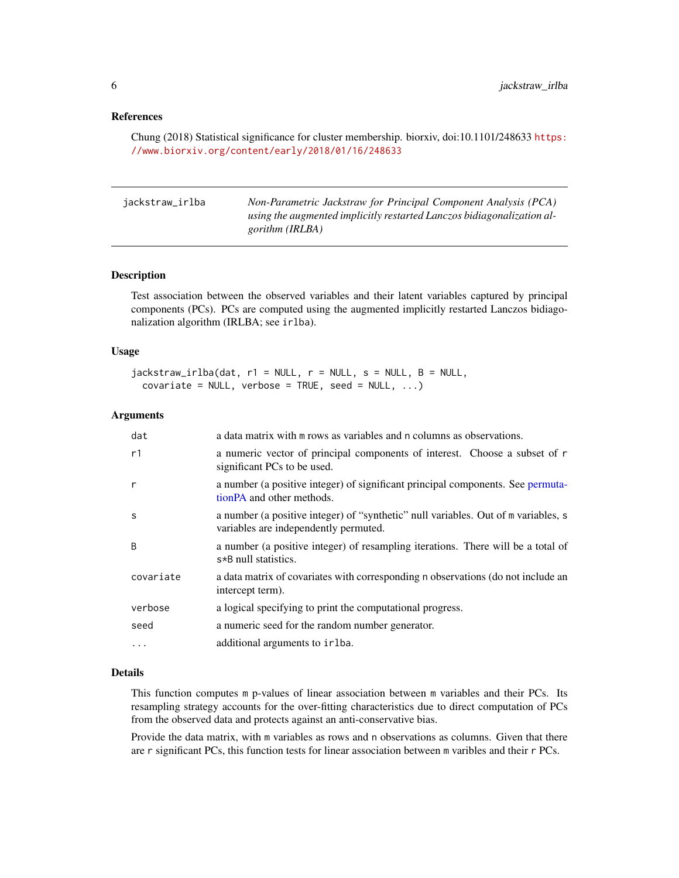#### <span id="page-5-0"></span>References

Chung (2018) Statistical significance for cluster membership. biorxiv, doi:10.1101/248633 [https:](https://www.biorxiv.org/content/early/2018/01/16/248633) [//www.biorxiv.org/content/early/2018/01/16/248633](https://www.biorxiv.org/content/early/2018/01/16/248633)

| jackstraw_irlba | Non-Parametric Jackstraw for Principal Component Analysis (PCA)        |
|-----------------|------------------------------------------------------------------------|
|                 | using the augmented implicitly restarted Lanczos bidiagonalization al- |
|                 | gorithm (IRLBA)                                                        |

#### Description

Test association between the observed variables and their latent variables captured by principal components (PCs). PCs are computed using the augmented implicitly restarted Lanczos bidiagonalization algorithm (IRLBA; see irlba).

#### Usage

```
jackstraw\_irlba(data, r1 = NULL, r = NULL, s = NULL, B = NULL,covariate = NULL, verbose = TRUE, seed = NULL, ...)
```
#### Arguments

| dat       | a data matrix with m rows as variables and n columns as observations.                                                       |
|-----------|-----------------------------------------------------------------------------------------------------------------------------|
| r1        | a numeric vector of principal components of interest. Choose a subset of r<br>significant PCs to be used.                   |
| r         | a number (a positive integer) of significant principal components. See permuta-<br>tionPA and other methods.                |
| S         | a number (a positive integer) of "synthetic" null variables. Out of m variables, s<br>variables are independently permuted. |
| B         | a number (a positive integer) of resampling iterations. There will be a total of<br>s*B null statistics.                    |
| covariate | a data matrix of covariates with corresponding n observations (do not include an<br>intercept term).                        |
| verbose   | a logical specifying to print the computational progress.                                                                   |
| seed      | a numeric seed for the random number generator.                                                                             |
| .         | additional arguments to irlba.                                                                                              |

#### Details

This function computes m p-values of linear association between m variables and their PCs. Its resampling strategy accounts for the over-fitting characteristics due to direct computation of PCs from the observed data and protects against an anti-conservative bias.

Provide the data matrix, with m variables as rows and n observations as columns. Given that there are r significant PCs, this function tests for linear association between m varibles and their r PCs.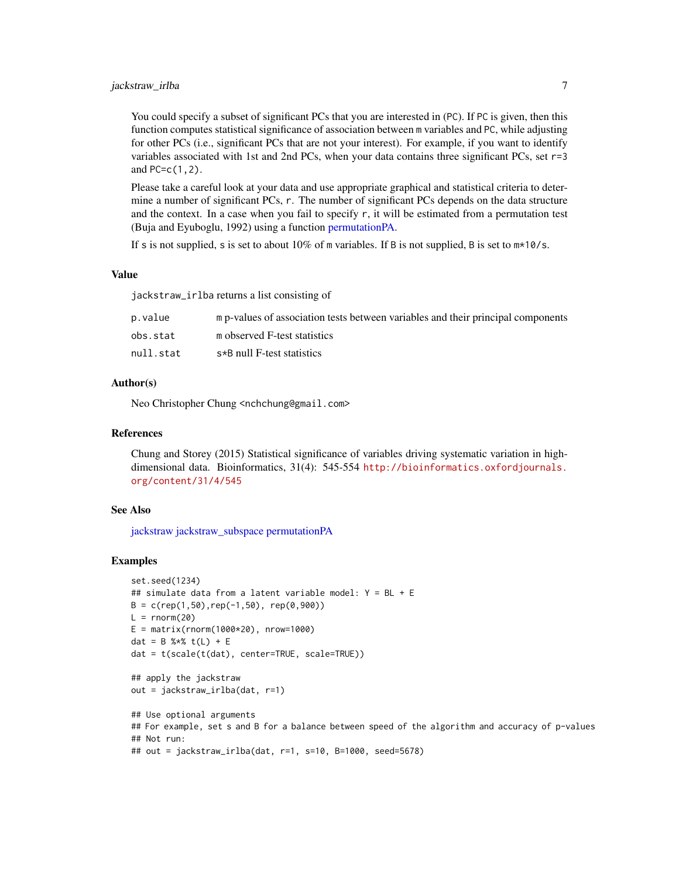# <span id="page-6-0"></span>jackstraw\_irlba 7

You could specify a subset of significant PCs that you are interested in (PC). If PC is given, then this function computes statistical significance of association between m variables and PC, while adjusting for other PCs (i.e., significant PCs that are not your interest). For example, if you want to identify variables associated with 1st and 2nd PCs, when your data contains three significant PCs, set r=3 and PC=c(1,2).

Please take a careful look at your data and use appropriate graphical and statistical criteria to determine a number of significant PCs, r. The number of significant PCs depends on the data structure and the context. In a case when you fail to specify  $r$ , it will be estimated from a permutation test (Buja and Eyuboglu, 1992) using a function [permutationPA.](#page-22-1)

If s is not supplied, s is set to about  $10\%$  of m variables. If B is not supplied, B is set to  $m*10/s$ .

#### Value

jackstraw\_irlba returns a list consisting of

| p.value   | m p-values of association tests between variables and their principal components |
|-----------|----------------------------------------------------------------------------------|
| obs.stat  | m observed F-test statistics                                                     |
| null.stat | s*B null F-test statistics                                                       |

#### Author(s)

Neo Christopher Chung <nchchung@gmail.com>

#### References

Chung and Storey (2015) Statistical significance of variables driving systematic variation in highdimensional data. Bioinformatics, 31(4): 545-554 [http://bioinformatics.oxfordjournals.](http://bioinformatics.oxfordjournals.org/content/31/4/545) [org/content/31/4/545](http://bioinformatics.oxfordjournals.org/content/31/4/545)

#### See Also

[jackstraw](#page-2-1) [jackstraw\\_subspace](#page-18-1) [permutationPA](#page-22-1)

#### Examples

```
set.seed(1234)
## simulate data from a latent variable model: Y = BL + E
B = c(\text{rep}(1, 50), \text{rep}(-1, 50), \text{rep}(0, 900))L = rnorm(20)E = matrix(rnorm(1000*20), nrow=1000)dat = B %*% t(L) + E
dat = t(scale(t(dat), center=TRUE, scale=TRUE))
## apply the jackstraw
out = jackstraw_irlba(dat, r=1)
## Use optional arguments
## For example, set s and B for a balance between speed of the algorithm and accuracy of p-values
## Not run:
```

```
## out = jackstraw_irlba(dat, r=1, s=10, B=1000, seed=5678)
```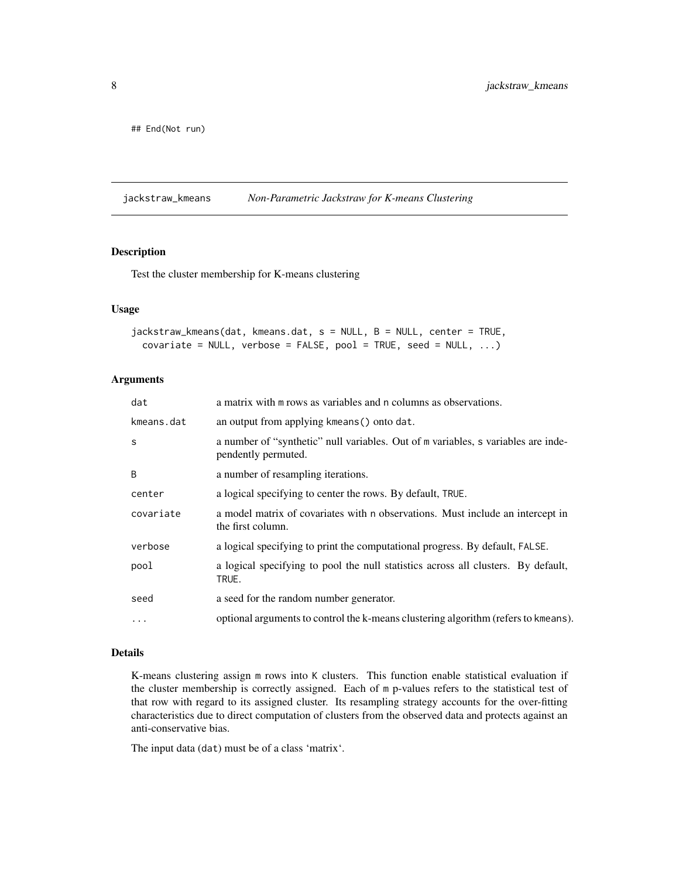<span id="page-7-0"></span>## End(Not run)

<span id="page-7-1"></span>jackstraw\_kmeans *Non-Parametric Jackstraw for K-means Clustering*

### Description

Test the cluster membership for K-means clustering

#### Usage

```
jackstraw_kmeans(dat, kmeans.dat, s = NULL, B = NULL, center = TRUE,
 covariate = NULL, verbose = FALSE, pool = TRUE, seed = NULL, ...)
```
#### Arguments

| dat          | a matrix with m rows as variables and n columns as observations.                                         |
|--------------|----------------------------------------------------------------------------------------------------------|
| kmeans.dat   | an output from applying kmeans () onto dat.                                                              |
| S            | a number of "synthetic" null variables. Out of m variables, s variables are inde-<br>pendently permuted. |
| <sub>B</sub> | a number of resampling iterations.                                                                       |
| center       | a logical specifying to center the rows. By default, TRUE.                                               |
| covariate    | a model matrix of covariates with n observations. Must include an intercept in<br>the first column.      |
| verbose      | a logical specifying to print the computational progress. By default, FALSE.                             |
| pool         | a logical specifying to pool the null statistics across all clusters. By default,<br>TRUE.               |
| seed         | a seed for the random number generator.                                                                  |
| $\ddotsc$    | optional arguments to control the k-means clustering algorithm (refers to kmeans).                       |

## Details

K-means clustering assign m rows into K clusters. This function enable statistical evaluation if the cluster membership is correctly assigned. Each of m p-values refers to the statistical test of that row with regard to its assigned cluster. Its resampling strategy accounts for the over-fitting characteristics due to direct computation of clusters from the observed data and protects against an anti-conservative bias.

The input data (dat) must be of a class 'matrix'.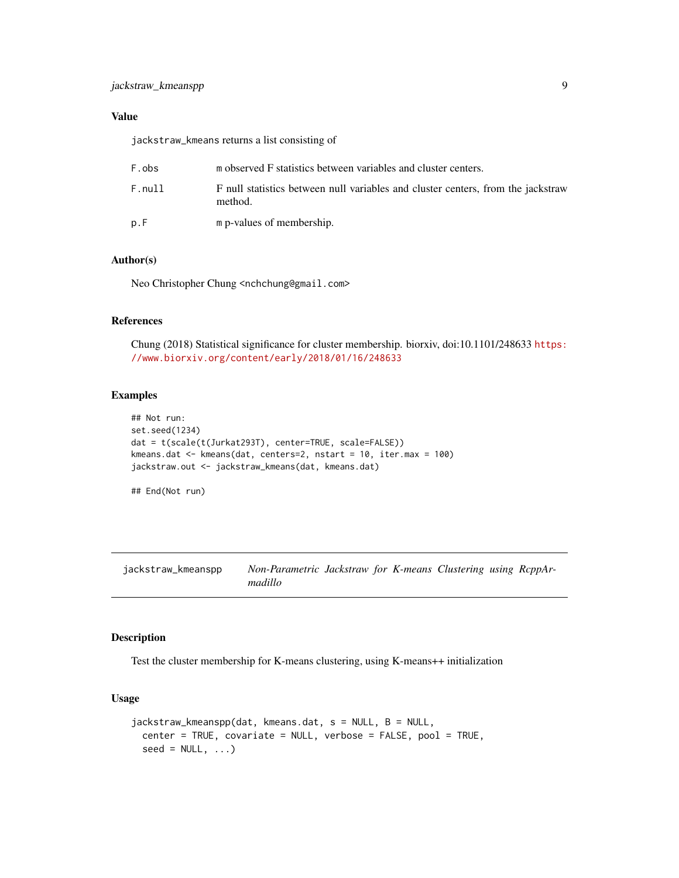# <span id="page-8-0"></span>Value

jackstraw\_kmeans returns a list consisting of

| F.obs  | m observed F statistics between variables and cluster centers.                              |
|--------|---------------------------------------------------------------------------------------------|
| F.null | F null statistics between null variables and cluster centers, from the jackstraw<br>method. |
| p.F    | m p-values of membership.                                                                   |

## Author(s)

Neo Christopher Chung <nchchung@gmail.com>

### References

Chung (2018) Statistical significance for cluster membership. biorxiv, doi:10.1101/248633 [https:](https://www.biorxiv.org/content/early/2018/01/16/248633) [//www.biorxiv.org/content/early/2018/01/16/248633](https://www.biorxiv.org/content/early/2018/01/16/248633)

# Examples

```
## Not run:
set.seed(1234)
dat = t(scale(t(Jurkat293T), center=TRUE, scale=FALSE))
kmeans.dat <- kmeans(dat, centers=2, nstart = 10, iter.max = 100)
jackstraw.out <- jackstraw_kmeans(dat, kmeans.dat)
```
## End(Not run)

jackstraw\_kmeanspp *Non-Parametric Jackstraw for K-means Clustering using RcppArmadillo*

#### Description

Test the cluster membership for K-means clustering, using K-means++ initialization

#### Usage

```
jackstraw_kmeanspp(dat, kmeans.dat, s = NULL, B = NULL,
 center = TRUE, covariate = NULL, verbose = FALSE, pool = TRUE,
 seed = NULL, ...
```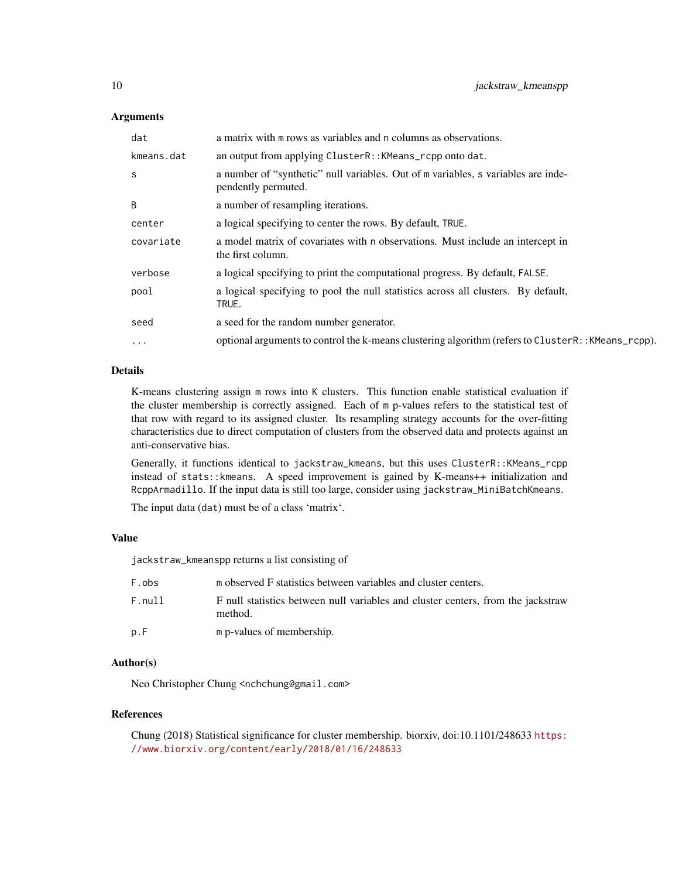#### **Arguments**

| dat        | a matrix with m rows as variables and n columns as observations.                                         |
|------------|----------------------------------------------------------------------------------------------------------|
| kmeans.dat | an output from applying ClusterR:: KMeans_rcpp onto dat.                                                 |
| S          | a number of "synthetic" null variables. Out of m variables, s variables are inde-<br>pendently permuted. |
| B          | a number of resampling iterations.                                                                       |
| center     | a logical specifying to center the rows. By default, TRUE.                                               |
| covariate  | a model matrix of covariates with n observations. Must include an intercept in<br>the first column.      |
| verbose    | a logical specifying to print the computational progress. By default, FALSE.                             |
| pool       | a logical specifying to pool the null statistics across all clusters. By default,<br>TRUE.               |
| seed       | a seed for the random number generator.                                                                  |
| $\cdots$   | optional arguments to control the k-means clustering algorithm (refers to ClusterR:: KMeans_rcpp).       |

#### Details

K-means clustering assign m rows into K clusters. This function enable statistical evaluation if the cluster membership is correctly assigned. Each of m p-values refers to the statistical test of that row with regard to its assigned cluster. Its resampling strategy accounts for the over-fitting characteristics due to direct computation of clusters from the observed data and protects against an anti-conservative bias.

Generally, it functions identical to jackstraw\_kmeans, but this uses ClusterR::KMeans\_rcpp instead of stats::kmeans. A speed improvement is gained by K-means++ initialization and RcppArmadillo. If the input data is still too large, consider using jackstraw\_MiniBatchKmeans.

The input data (dat) must be of a class 'matrix'.

#### Value

jackstraw\_kmeanspp returns a list consisting of

| F.obs  | m observed F statistics between variables and cluster centers.                              |
|--------|---------------------------------------------------------------------------------------------|
| F.nu11 | F null statistics between null variables and cluster centers, from the jackstraw<br>method. |
| p.F    | m p-values of membership.                                                                   |

### Author(s)

Neo Christopher Chung <nchchung@gmail.com>

#### References

Chung (2018) Statistical significance for cluster membership. biorxiv, doi:10.1101/248633 [https:](https://www.biorxiv.org/content/early/2018/01/16/248633) [//www.biorxiv.org/content/early/2018/01/16/248633](https://www.biorxiv.org/content/early/2018/01/16/248633)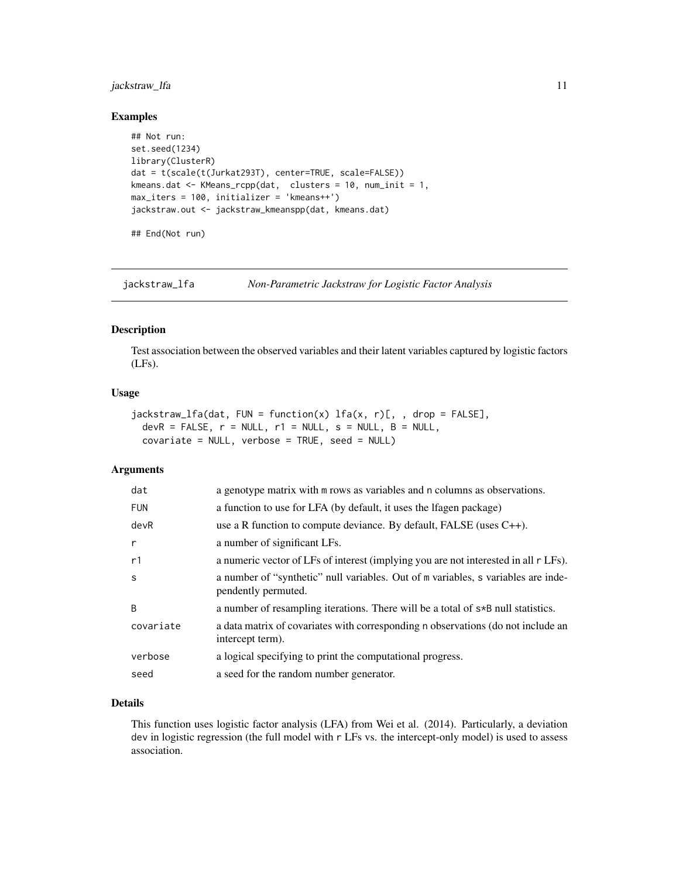# <span id="page-10-0"></span>jackstraw\_lfa 11

#### Examples

```
## Not run:
set.seed(1234)
library(ClusterR)
dat = t(scale(t(Jurkat293T), center=TRUE, scale=FALSE))
kmeans.dat <- KMeans_rcpp(dat, clusters = 10, num_init = 1,
max_iters = 100, initializer = 'kmeans++')
jackstraw.out <- jackstraw_kmeanspp(dat, kmeans.dat)
```
## End(Not run)

<span id="page-10-1"></span>jackstraw\_lfa *Non-Parametric Jackstraw for Logistic Factor Analysis*

#### Description

Test association between the observed variables and their latent variables captured by logistic factors (LFs).

#### Usage

```
jackdraw_lfa(data, FUN = function(x) 1fa(x, r)[,, drop = FALSE],
 devR = FALSE, r = NULL, r1 = NULL, s = NULL, B = NULL,covariate = NULL, verbose = TRUE, seed = NULL)
```
# Arguments

| dat        | a genotype matrix with m rows as variables and n columns as observations.                                |
|------------|----------------------------------------------------------------------------------------------------------|
| <b>FUN</b> | a function to use for LFA (by default, it uses the Ifagen package)                                       |
| devR       | use a R function to compute deviance. By default, FALSE (uses $C_{++}$ ).                                |
| r          | a number of significant LFs.                                                                             |
| r1         | a numeric vector of LFs of interest (implying you are not interested in all r LFs).                      |
| S          | a number of "synthetic" null variables. Out of m variables, s variables are inde-<br>pendently permuted. |
| B          | a number of resampling iterations. There will be a total of $s*B$ null statistics.                       |
| covariate  | a data matrix of covariates with corresponding n observations (do not include an<br>intercept term).     |
| verbose    | a logical specifying to print the computational progress.                                                |
| seed       | a seed for the random number generator.                                                                  |

#### Details

This function uses logistic factor analysis (LFA) from Wei et al. (2014). Particularly, a deviation dev in logistic regression (the full model with r LFs vs. the intercept-only model) is used to assess association.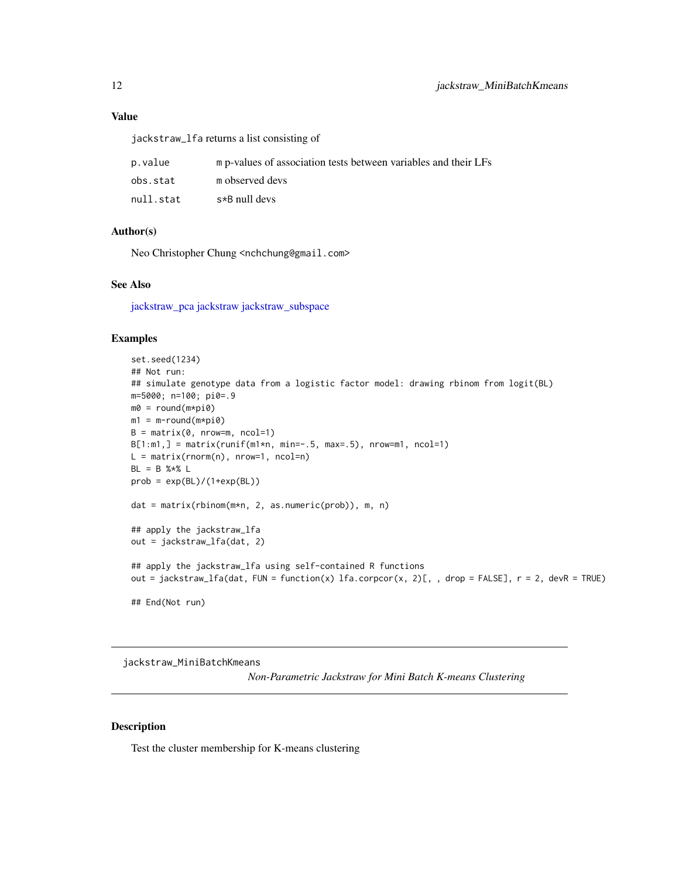<span id="page-11-0"></span>jackstraw\_lfa returns a list consisting of

| p.value   | m p-values of association tests between variables and their LFs |
|-----------|-----------------------------------------------------------------|
| obs.stat  | m observed devs                                                 |
| null.stat | $s*B$ null devs                                                 |

# Author(s)

Neo Christopher Chung <nchchung@gmail.com>

#### See Also

[jackstraw\\_pca](#page-14-1) [jackstraw](#page-2-1) [jackstraw\\_subspace](#page-18-1)

# Examples

```
set.seed(1234)
## Not run:
## simulate genotype data from a logistic factor model: drawing rbinom from logit(BL)
m=5000; n=100; pi0=.9
m0 = round(m*pi0)
m1 = m-round(m * pi0)
B = matrix(0, nrow=m, ncol=1)B[1:m1, ] = matrix(runif(m1*n, min=-.5, max=.5), nrow=m1, ncol=1)L = matrix(rnorm(n), nrow=1, ncol=n)BL = B % * % Lprob = exp(BL)/(1+exp(BL))dat = matrix(rbinom(m*n, 2, as.numeric(prob)), m, n)
## apply the jackstraw_lfa
out = jackstraw_lfa(dat, 2)
## apply the jackstraw_lfa using self-contained R functions
out = jackstraw_lfa(dat, FUN = function(x) lfa.corpcor(x, 2)[, , drop = FALSE], r = 2, devR = TRUE)
## End(Not run)
```
jackstraw\_MiniBatchKmeans

*Non-Parametric Jackstraw for Mini Batch K-means Clustering*

# Description

Test the cluster membership for K-means clustering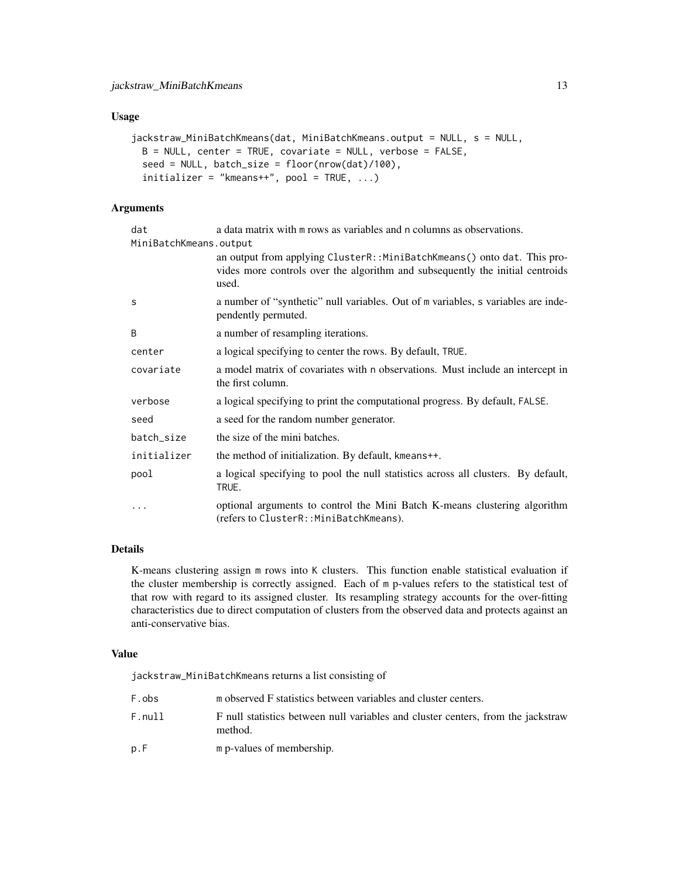#### Usage

```
jackstraw_MiniBatchKmeans(dat, MiniBatchKmeans.output = NULL, s = NULL,
 B = NULL, center = TRUE, covariate = NULL, verbose = FALSE,
 seed = NULL, batch_size = floor(nrow(dat)/100),
 initializer = "kmeans++", pool = TRUE, ...)
```
# Arguments

| dat<br>MiniBatchKmeans.output | a data matrix with m rows as variables and n columns as observations.                                                                                             |
|-------------------------------|-------------------------------------------------------------------------------------------------------------------------------------------------------------------|
|                               | an output from applying ClusterR::MiniBatchKmeans() onto dat. This pro-<br>vides more controls over the algorithm and subsequently the initial centroids<br>used. |
| S                             | a number of "synthetic" null variables. Out of m variables, s variables are inde-<br>pendently permuted.                                                          |
| <sub>B</sub>                  | a number of resampling iterations.                                                                                                                                |
| center                        | a logical specifying to center the rows. By default, TRUE.                                                                                                        |
| covariate                     | a model matrix of covariates with n observations. Must include an intercept in<br>the first column.                                                               |
| verbose                       | a logical specifying to print the computational progress. By default, FALSE.                                                                                      |
| seed                          | a seed for the random number generator.                                                                                                                           |
| batch_size                    | the size of the mini batches.                                                                                                                                     |
| initializer                   | the method of initialization. By default, kmeans++.                                                                                                               |
| pool                          | a logical specifying to pool the null statistics across all clusters. By default,<br>TRUE.                                                                        |
| $\ddotsc$                     | optional arguments to control the Mini Batch K-means clustering algorithm<br>(refers to ClusterR::MiniBatchKmeans).                                               |

# Details

K-means clustering assign m rows into K clusters. This function enable statistical evaluation if the cluster membership is correctly assigned. Each of m p-values refers to the statistical test of that row with regard to its assigned cluster. Its resampling strategy accounts for the over-fitting characteristics due to direct computation of clusters from the observed data and protects against an anti-conservative bias.

# Value

jackstraw\_MiniBatchKmeans returns a list consisting of

| F.obs  | m observed F statistics between variables and cluster centers.                              |
|--------|---------------------------------------------------------------------------------------------|
| F.nu11 | F null statistics between null variables and cluster centers, from the jackstraw<br>method. |
| p.F    | m p-values of membership.                                                                   |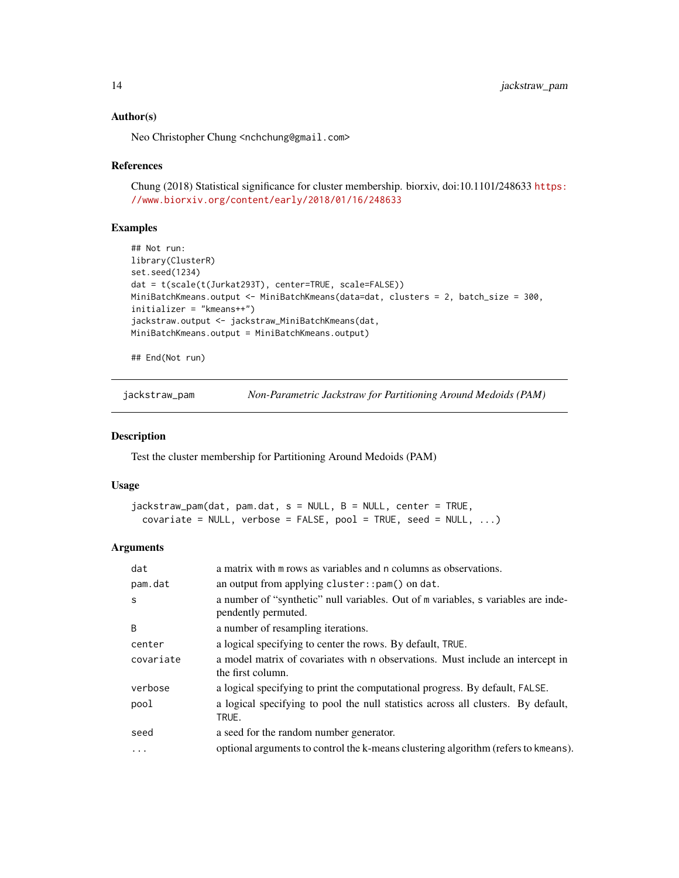#### Author(s)

Neo Christopher Chung <nchchung@gmail.com>

#### References

Chung (2018) Statistical significance for cluster membership. biorxiv, doi:10.1101/248633 [https:](https://www.biorxiv.org/content/early/2018/01/16/248633) [//www.biorxiv.org/content/early/2018/01/16/248633](https://www.biorxiv.org/content/early/2018/01/16/248633)

#### Examples

```
## Not run:
library(ClusterR)
set.seed(1234)
dat = t(scale(t(Jurkat293T), center=TRUE, scale=FALSE))
MiniBatchKmeans.output <- MiniBatchKmeans(data=dat, clusters = 2, batch_size = 300,
initializer = "kmeans++")
jackstraw.output <- jackstraw_MiniBatchKmeans(dat,
MiniBatchKmeans.output = MiniBatchKmeans.output)
```
## End(Not run)

jackstraw\_pam *Non-Parametric Jackstraw for Partitioning Around Medoids (PAM)*

#### Description

Test the cluster membership for Partitioning Around Medoids (PAM)

#### Usage

```
jackstraw_pam(dat, pam.dat, s = NULL, B = NULL, center = TRUE,
 covariate = NULL, verbose = FALSE, pool = TRUE, seed = NULL, ...)
```
#### Arguments

| dat       | a matrix with m rows as variables and n columns as observations.                                         |
|-----------|----------------------------------------------------------------------------------------------------------|
| pam.dat   | an output from applying cluster:: $pam()$ on dat.                                                        |
| S         | a number of "synthetic" null variables. Out of m variables, s variables are inde-<br>pendently permuted. |
| B         | a number of resampling iterations.                                                                       |
| center    | a logical specifying to center the rows. By default, TRUE.                                               |
| covariate | a model matrix of covariates with n observations. Must include an intercept in<br>the first column.      |
| verbose   | a logical specifying to print the computational progress. By default, FALSE.                             |
| pool      | a logical specifying to pool the null statistics across all clusters. By default,<br>TRUE.               |
| seed      | a seed for the random number generator.                                                                  |
| .         | optional arguments to control the k-means clustering algorithm (refers to kmeans).                       |

<span id="page-13-0"></span>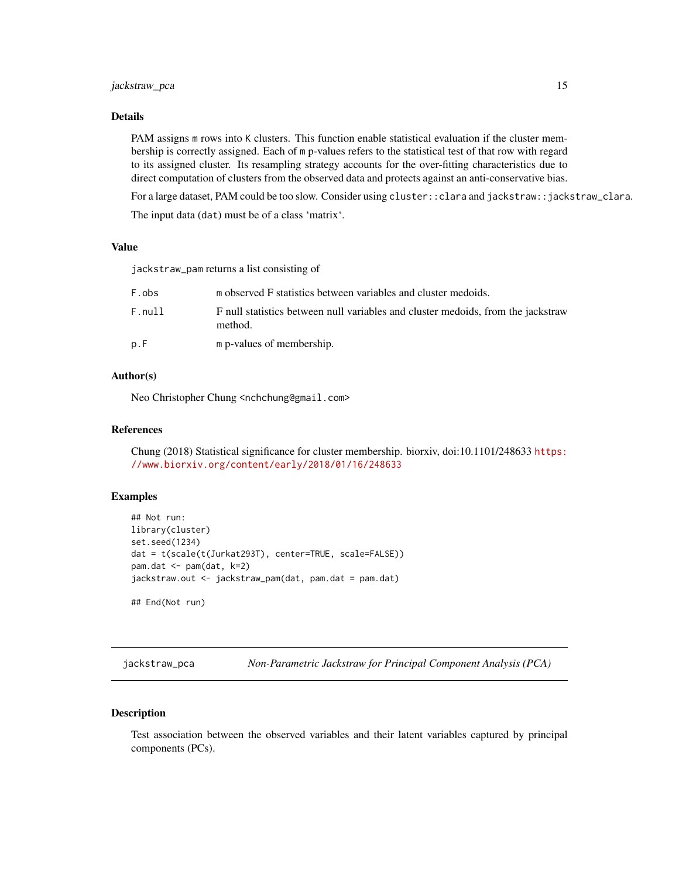#### <span id="page-14-0"></span>jackstraw\_pca 15

## Details

PAM assigns m rows into K clusters. This function enable statistical evaluation if the cluster membership is correctly assigned. Each of m p-values refers to the statistical test of that row with regard to its assigned cluster. Its resampling strategy accounts for the over-fitting characteristics due to direct computation of clusters from the observed data and protects against an anti-conservative bias.

For a large dataset, PAM could be too slow. Consider using cluster::clara and jackstraw::jackstraw\_clara.

The input data (dat) must be of a class 'matrix'.

#### Value

jackstraw\_pam returns a list consisting of

| F.obs  | m observed F statistics between variables and cluster medoids.                              |
|--------|---------------------------------------------------------------------------------------------|
| F.null | F null statistics between null variables and cluster medoids, from the jackstraw<br>method. |
| p.F    | m p-values of membership.                                                                   |

#### Author(s)

Neo Christopher Chung <nchchung@gmail.com>

#### References

Chung (2018) Statistical significance for cluster membership. biorxiv, doi:10.1101/248633 [https:](https://www.biorxiv.org/content/early/2018/01/16/248633) [//www.biorxiv.org/content/early/2018/01/16/248633](https://www.biorxiv.org/content/early/2018/01/16/248633)

#### Examples

```
## Not run:
library(cluster)
set.seed(1234)
dat = t(scale(t(Jurkat293T), center=TRUE, scale=FALSE))
pam.dat <- pam(dat, k=2)
jackstraw.out <- jackstraw_pam(dat, pam.dat = pam.dat)
## End(Not run)
```
<span id="page-14-1"></span>jackstraw\_pca *Non-Parametric Jackstraw for Principal Component Analysis (PCA)*

# Description

Test association between the observed variables and their latent variables captured by principal components (PCs).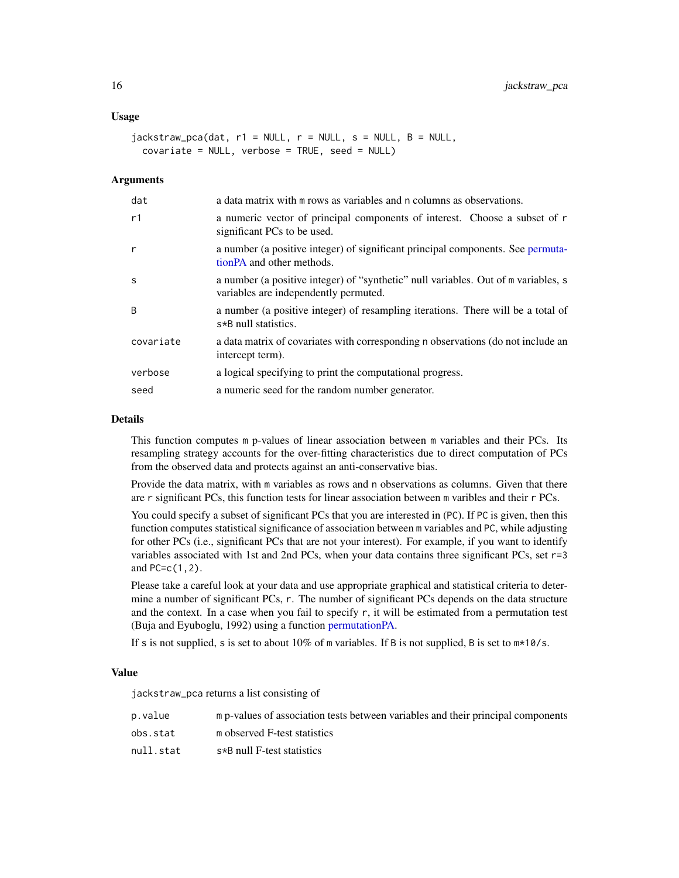#### <span id="page-15-0"></span>Usage

```
jackstraw_pca(data, r1 = NULL, r = NULL, s = NULL, B = NULL,covariate = NULL, verbose = TRUE, seed = NULL)
```
#### Arguments

| dat          | a data matrix with m rows as variables and n columns as observations.                                                       |
|--------------|-----------------------------------------------------------------------------------------------------------------------------|
| r1           | a numeric vector of principal components of interest. Choose a subset of r<br>significant PCs to be used.                   |
| r            | a number (a positive integer) of significant principal components. See permuta-<br>tion PA and other methods.               |
| S            | a number (a positive integer) of "synthetic" null variables. Out of m variables, s<br>variables are independently permuted. |
| <sub>B</sub> | a number (a positive integer) of resampling iterations. There will be a total of<br>s*B null statistics.                    |
| covariate    | a data matrix of covariates with corresponding n observations (do not include an<br>intercept term).                        |
| verbose      | a logical specifying to print the computational progress.                                                                   |
| seed         | a numeric seed for the random number generator.                                                                             |

#### Details

This function computes m p-values of linear association between m variables and their PCs. Its resampling strategy accounts for the over-fitting characteristics due to direct computation of PCs from the observed data and protects against an anti-conservative bias.

Provide the data matrix, with m variables as rows and n observations as columns. Given that there are r significant PCs, this function tests for linear association between m varibles and their r PCs.

You could specify a subset of significant PCs that you are interested in (PC). If PC is given, then this function computes statistical significance of association between m variables and PC, while adjusting for other PCs (i.e., significant PCs that are not your interest). For example, if you want to identify variables associated with 1st and 2nd PCs, when your data contains three significant PCs, set r=3 and PC=c(1,2).

Please take a careful look at your data and use appropriate graphical and statistical criteria to determine a number of significant PCs, r. The number of significant PCs depends on the data structure and the context. In a case when you fail to specify  $r$ , it will be estimated from a permutation test (Buja and Eyuboglu, 1992) using a function [permutationPA.](#page-22-1)

If s is not supplied, s is set to about  $10\%$  of m variables. If B is not supplied, B is set to  $m*10/s$ .

#### Value

jackstraw\_pca returns a list consisting of

| p.value   | m p-values of association tests between variables and their principal components |
|-----------|----------------------------------------------------------------------------------|
| obs.stat  | m observed F-test statistics                                                     |
| null.stat | s*B null F-test statistics                                                       |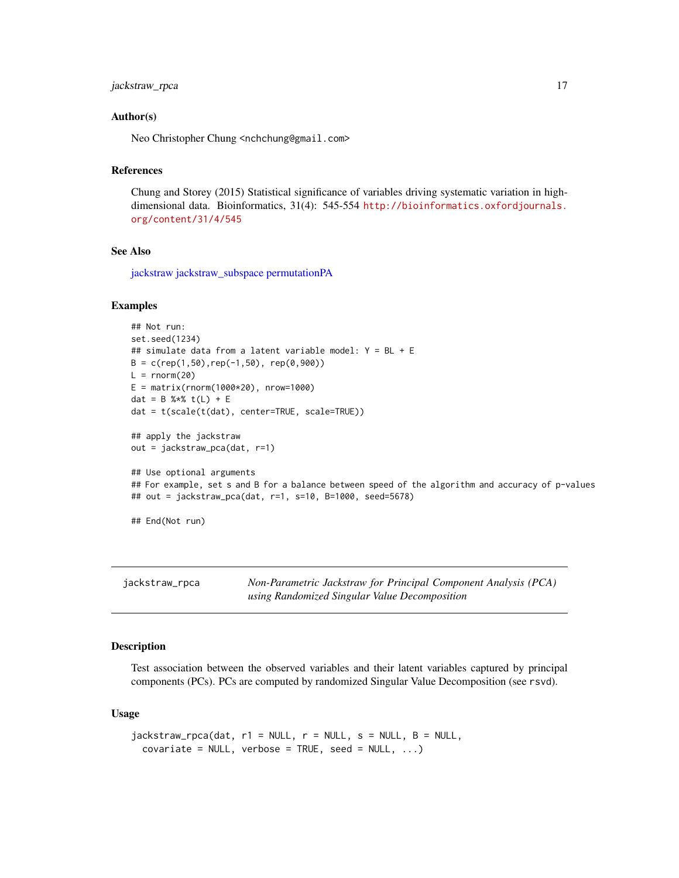# <span id="page-16-0"></span>jackstraw\_rpca 17

#### Author(s)

Neo Christopher Chung <nchchung@gmail.com>

# References

Chung and Storey (2015) Statistical significance of variables driving systematic variation in highdimensional data. Bioinformatics, 31(4): 545-554 [http://bioinformatics.oxfordjournals.](http://bioinformatics.oxfordjournals.org/content/31/4/545) [org/content/31/4/545](http://bioinformatics.oxfordjournals.org/content/31/4/545)

#### See Also

[jackstraw](#page-2-1) [jackstraw\\_subspace](#page-18-1) [permutationPA](#page-22-1)

#### Examples

```
## Not run:
set.seed(1234)
## simulate data from a latent variable model: Y = BL + E
B = c(\text{rep}(1, 50), \text{rep}(-1, 50), \text{rep}(0, 900))L = rnorm(20)E = matrix(rnorm(1000*20), nrow=1000)dat = B %*% t(L) + E
dat = t(scale(t(dat), center=TRUE, scale=TRUE))
## apply the jackstraw
out = jackstraw_pca(dat, r=1)
## Use optional arguments
## For example, set s and B for a balance between speed of the algorithm and accuracy of p-values
## out = jackstraw_pca(dat, r=1, s=10, B=1000, seed=5678)
```

```
## End(Not run)
```
jackstraw\_rpca *Non-Parametric Jackstraw for Principal Component Analysis (PCA) using Randomized Singular Value Decomposition*

#### Description

Test association between the observed variables and their latent variables captured by principal components (PCs). PCs are computed by randomized Singular Value Decomposition (see rsvd).

#### Usage

```
jackstraw_rpca(data, r1 = NULL, r = NULL, s = NULL, B = NULL,covariate = NULL, verbose = TRUE, seed = NULL, ...)
```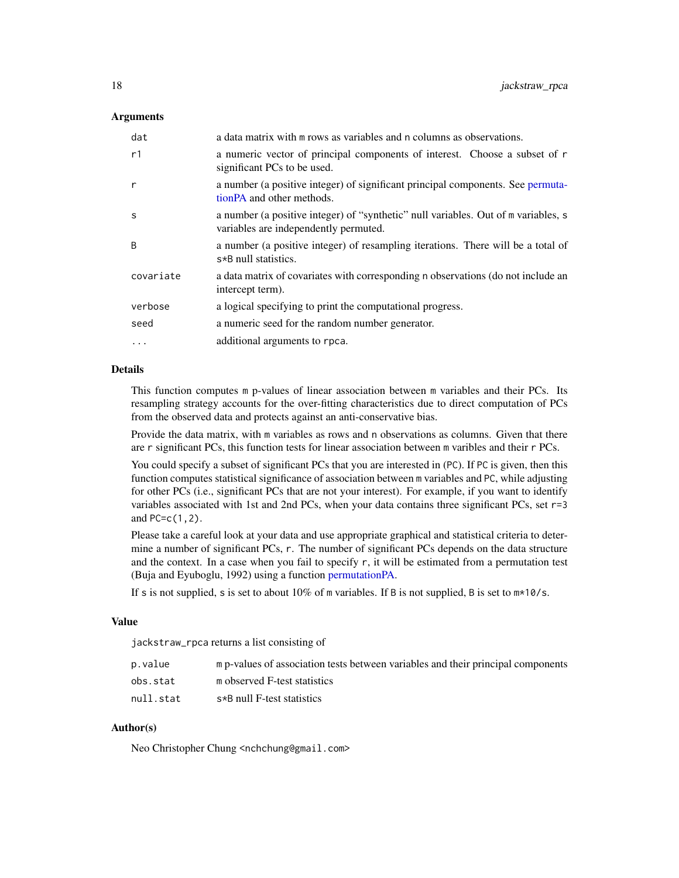#### Arguments

| dat       | a data matrix with m rows as variables and n columns as observations.                                                       |
|-----------|-----------------------------------------------------------------------------------------------------------------------------|
| r1        | a numeric vector of principal components of interest. Choose a subset of r<br>significant PCs to be used.                   |
| r         | a number (a positive integer) of significant principal components. See permuta-<br>tion PA and other methods.               |
| S         | a number (a positive integer) of "synthetic" null variables. Out of m variables, s<br>variables are independently permuted. |
| B         | a number (a positive integer) of resampling iterations. There will be a total of<br>s*B null statistics.                    |
| covariate | a data matrix of covariates with corresponding n observations (do not include an<br>intercept term).                        |
| verbose   | a logical specifying to print the computational progress.                                                                   |
| seed      | a numeric seed for the random number generator.                                                                             |
| .         | additional arguments to rpca.                                                                                               |

#### Details

This function computes m p-values of linear association between m variables and their PCs. Its resampling strategy accounts for the over-fitting characteristics due to direct computation of PCs from the observed data and protects against an anti-conservative bias.

Provide the data matrix, with m variables as rows and n observations as columns. Given that there are r significant PCs, this function tests for linear association between m varibles and their r PCs.

You could specify a subset of significant PCs that you are interested in (PC). If PC is given, then this function computes statistical significance of association between m variables and PC, while adjusting for other PCs (i.e., significant PCs that are not your interest). For example, if you want to identify variables associated with 1st and 2nd PCs, when your data contains three significant PCs, set r=3 and PC=c(1,2).

Please take a careful look at your data and use appropriate graphical and statistical criteria to determine a number of significant PCs, r. The number of significant PCs depends on the data structure and the context. In a case when you fail to specify r, it will be estimated from a permutation test (Buja and Eyuboglu, 1992) using a function [permutationPA.](#page-22-1)

If s is not supplied, s is set to about  $10\%$  of m variables. If B is not supplied, B is set to  $m*10/s$ .

#### Value

jackstraw\_rpca returns a list consisting of

| p.value   | m p-values of association tests between variables and their principal components |
|-----------|----------------------------------------------------------------------------------|
| obs.stat  | m observed F-test statistics                                                     |
| null.stat | s*B null F-test statistics                                                       |

#### Author(s)

Neo Christopher Chung <nchchung@gmail.com>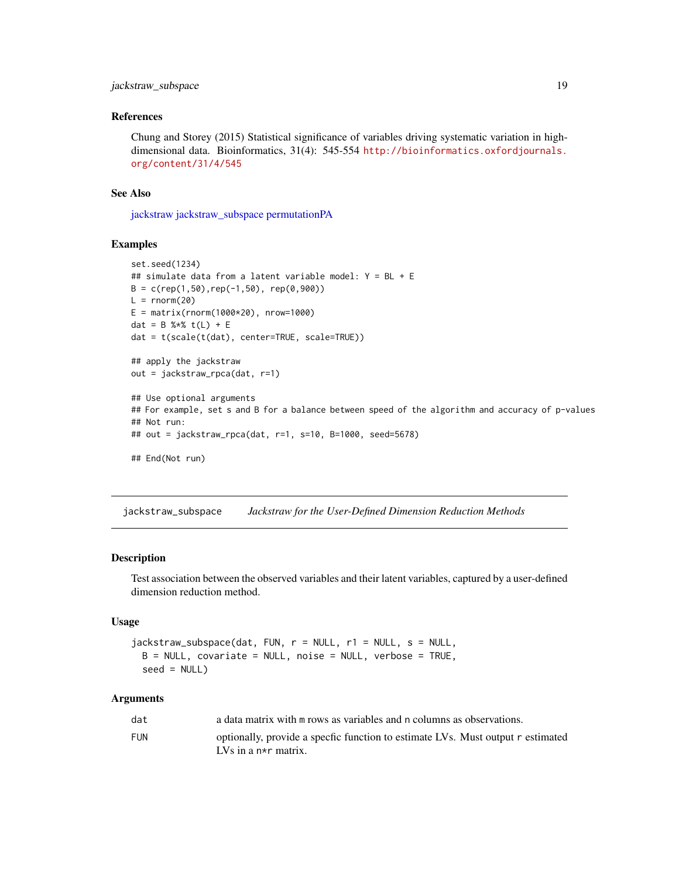# <span id="page-18-0"></span>jackstraw\_subspace 19

#### References

Chung and Storey (2015) Statistical significance of variables driving systematic variation in highdimensional data. Bioinformatics, 31(4): 545-554 [http://bioinformatics.oxfordjournals.](http://bioinformatics.oxfordjournals.org/content/31/4/545) [org/content/31/4/545](http://bioinformatics.oxfordjournals.org/content/31/4/545)

#### See Also

[jackstraw](#page-2-1) [jackstraw\\_subspace](#page-18-1) [permutationPA](#page-22-1)

# Examples

```
set.seed(1234)
## simulate data from a latent variable model: Y = BL + E
B = c(rep(1,50), rep(-1,50), rep(0,900))L = rnorm(20)E = matrix(rnorm(1000*20), nrow=1000)dat = B %*% t(L) + E
dat = t(scale(t(dat), center=TRUE, scale=TRUE))
## apply the jackstraw
out = jackstraw_rpca(dat, r=1)
## Use optional arguments
## For example, set s and B for a balance between speed of the algorithm and accuracy of p-values
## Not run:
## out = jackstraw_rpca(dat, r=1, s=10, B=1000, seed=5678)
## End(Not run)
```
<span id="page-18-1"></span>jackstraw\_subspace *Jackstraw for the User-Defined Dimension Reduction Methods*

#### Description

Test association between the observed variables and their latent variables, captured by a user-defined dimension reduction method.

# Usage

```
jackstraw_subspace(dat, FUN, r = NULL, r1 = NULL, s = NULL,
 B = NULL, covariate = NULL, noise = NULL, verbose = TRUE,
 seed = NULL)
```
#### Arguments

| dat        | a data matrix with m rows as variables and n columns as observations.                                          |
|------------|----------------------------------------------------------------------------------------------------------------|
| <b>FUN</b> | optionally, provide a specfic function to estimate LVs. Must output r estimated<br>LVs in a $n\star r$ matrix. |
|            |                                                                                                                |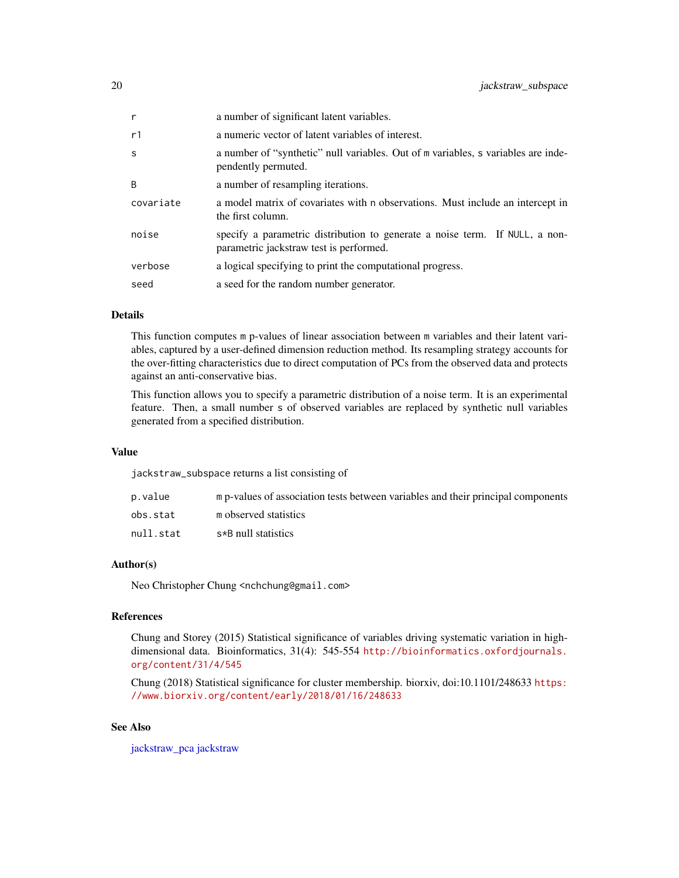<span id="page-19-0"></span>

| r         | a number of significant latent variables.                                                                              |
|-----------|------------------------------------------------------------------------------------------------------------------------|
| r1        | a numeric vector of latent variables of interest.                                                                      |
| S         | a number of "synthetic" null variables. Out of m variables, s variables are inde-<br>pendently permuted.               |
| B         | a number of resampling iterations.                                                                                     |
| covariate | a model matrix of covariates with n observations. Must include an intercept in<br>the first column.                    |
| noise     | specify a parametric distribution to generate a noise term. If NULL, a non-<br>parametric jackstraw test is performed. |
| verbose   | a logical specifying to print the computational progress.                                                              |
| seed      | a seed for the random number generator.                                                                                |

# Details

This function computes m p-values of linear association between m variables and their latent variables, captured by a user-defined dimension reduction method. Its resampling strategy accounts for the over-fitting characteristics due to direct computation of PCs from the observed data and protects against an anti-conservative bias.

This function allows you to specify a parametric distribution of a noise term. It is an experimental feature. Then, a small number s of observed variables are replaced by synthetic null variables generated from a specified distribution.

# Value

jackstraw\_subspace returns a list consisting of

| p.value   | m p-values of association tests between variables and their principal components |
|-----------|----------------------------------------------------------------------------------|
| obs.stat  | m observed statistics                                                            |
| null.stat | s*B null statistics                                                              |

#### Author(s)

Neo Christopher Chung <nchchung@gmail.com>

# References

Chung and Storey (2015) Statistical significance of variables driving systematic variation in highdimensional data. Bioinformatics, 31(4): 545-554 [http://bioinformatics.oxfordjournals.](http://bioinformatics.oxfordjournals.org/content/31/4/545) [org/content/31/4/545](http://bioinformatics.oxfordjournals.org/content/31/4/545)

Chung (2018) Statistical significance for cluster membership. biorxiv, doi:10.1101/248633 [https:](https://www.biorxiv.org/content/early/2018/01/16/248633) [//www.biorxiv.org/content/early/2018/01/16/248633](https://www.biorxiv.org/content/early/2018/01/16/248633)

# See Also

[jackstraw\\_pca](#page-14-1) [jackstraw](#page-2-1)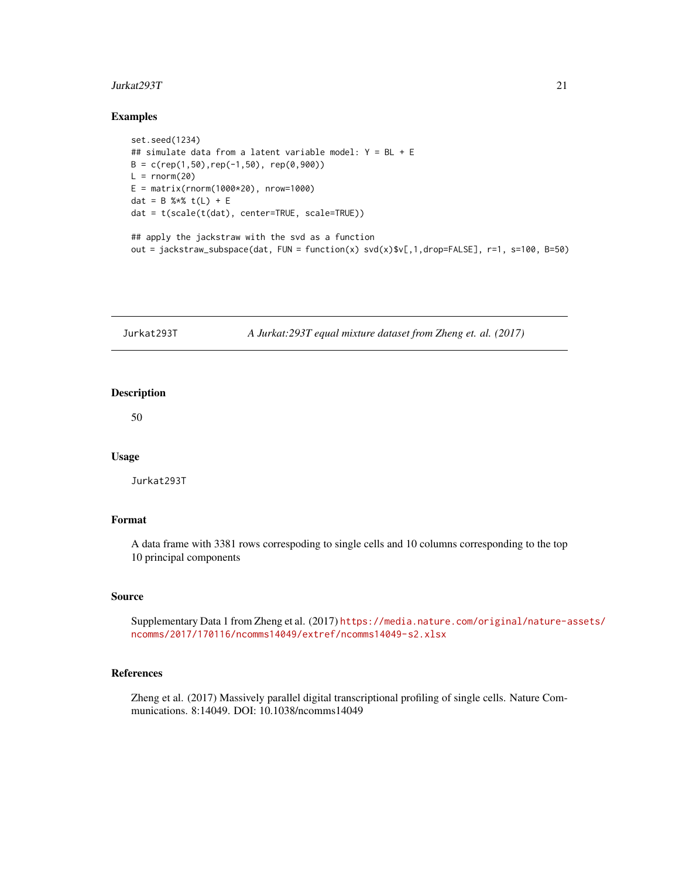#### <span id="page-20-0"></span>Jurkat293T 21

#### Examples

```
set.seed(1234)
## simulate data from a latent variable model: Y = BL + E
B = c(rep(1,50), rep(-1,50), rep(0,900))L = rnorm(20)E = matrix(rnorm(1000*20), nrow=1000)dat = B %*% t(L) + E
dat = t(scale(t(dat), center=TRUE, scale=TRUE))
## apply the jackstraw with the svd as a function
out = jackstraw_subspace(dat, FUN = function(x) svd(x)$v[,1,drop=FALSE], r=1, s=100, B=50)
```

| Jurkat293T | A Jurkat:293T equal mixture dataset from Zheng et. al. (2017) |  |
|------------|---------------------------------------------------------------|--|
|------------|---------------------------------------------------------------|--|

# Description

50

#### Usage

Jurkat293T

# Format

A data frame with 3381 rows correspoding to single cells and 10 columns corresponding to the top 10 principal components

#### Source

Supplementary Data 1 from Zheng et al. (2017) [https://media.nature.com/original/nature-a](https://media.nature.com/original/nature-assets/ncomms/2017/170116/ncomms14049/extref/ncomms14049-s2.xlsx)ssets/ [ncomms/2017/170116/ncomms14049/extref/ncomms14049-s2.xlsx](https://media.nature.com/original/nature-assets/ncomms/2017/170116/ncomms14049/extref/ncomms14049-s2.xlsx)

# References

Zheng et al. (2017) Massively parallel digital transcriptional profiling of single cells. Nature Communications. 8:14049. DOI: 10.1038/ncomms14049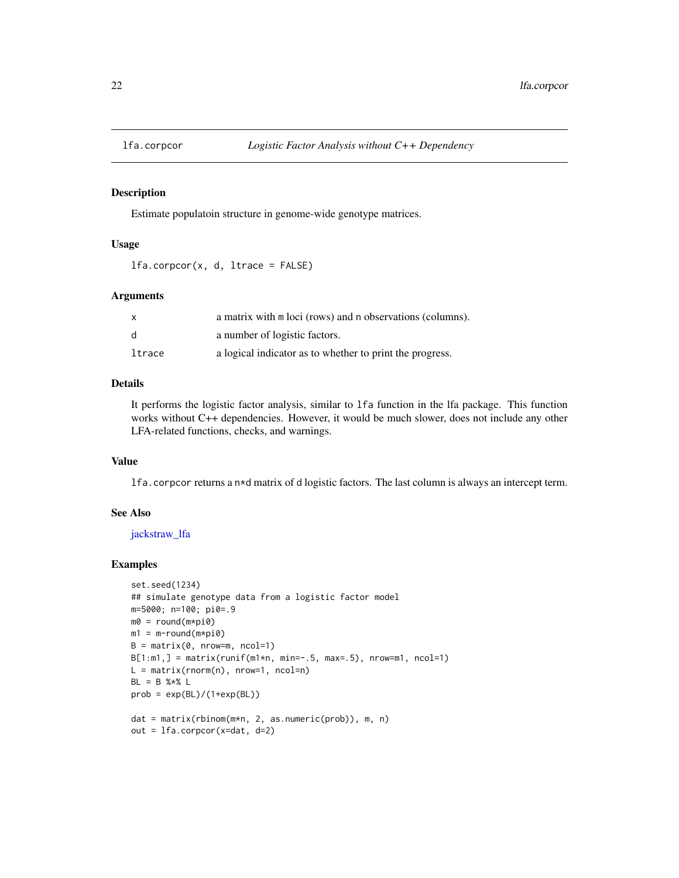<span id="page-21-0"></span>

#### Description

Estimate populatoin structure in genome-wide genotype matrices.

# Usage

lfa.corpcor(x, d, ltrace = FALSE)

#### Arguments

| X            | a matrix with m loci (rows) and n observations (columns). |
|--------------|-----------------------------------------------------------|
| <sub>d</sub> | a number of logistic factors.                             |
| ltrace       | a logical indicator as to whether to print the progress.  |

## Details

It performs the logistic factor analysis, similar to lfa function in the lfa package. This function works without C++ dependencies. However, it would be much slower, does not include any other LFA-related functions, checks, and warnings.

#### Value

lfa.corpcor returns a n\*d matrix of d logistic factors. The last column is always an intercept term.

### See Also

[jackstraw\\_lfa](#page-10-1)

#### Examples

```
set.seed(1234)
## simulate genotype data from a logistic factor model
m=5000; n=100; pi0=.9
m0 = round(m*pi0)
m1 = m-round(m * pi0)
B = matrix(0, nrow=m, ncol=1)B[1:m1,] = matrix(runif(m1*n, min=-.5, max=.5), nrow=m1, ncol=1)L = matrix(rnorm(n), nrow=1, ncol=n)BL = B %*% L
prob = exp(BL)/(1+exp(BL))dat = matrix(rbinom(m*n, 2, as.numeric(prob)), m, n)
out = lfa.corpcor(x=dat, d=2)
```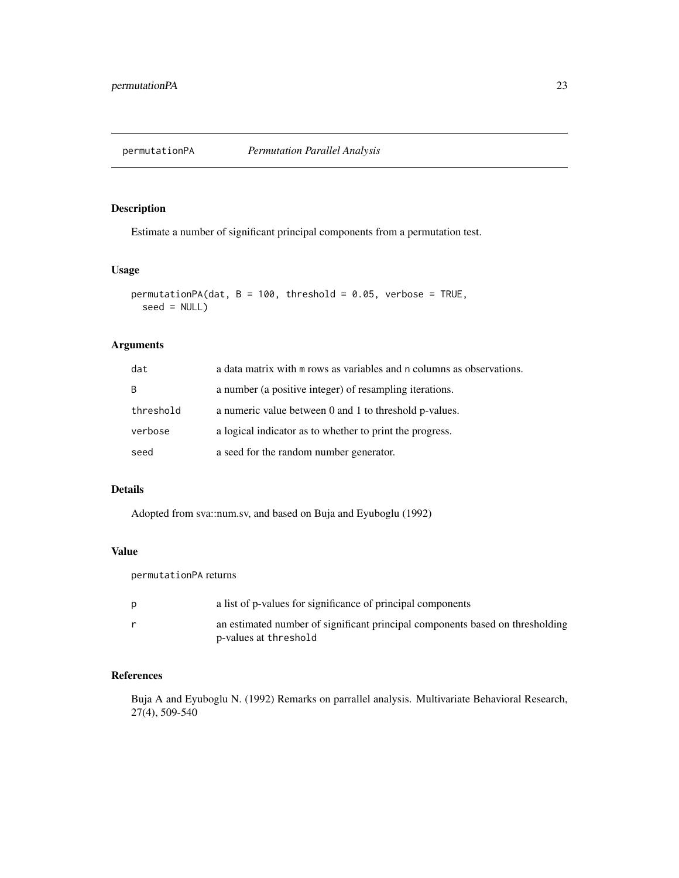<span id="page-22-1"></span><span id="page-22-0"></span>

#### Description

Estimate a number of significant principal components from a permutation test.

# Usage

```
permutationPA(dat, B = 100, threshold = 0.05, verbose = TRUE,
  seed = NULL)
```
## Arguments

| dat       | a data matrix with $m$ rows as variables and $n$ columns as observations. |
|-----------|---------------------------------------------------------------------------|
| B         | a number (a positive integer) of resampling iterations.                   |
| threshold | a numeric value between 0 and 1 to threshold p-values.                    |
| verbose   | a logical indicator as to whether to print the progress.                  |
| seed      | a seed for the random number generator.                                   |

# Details

Adopted from sva::num.sv, and based on Buja and Eyuboglu (1992)

#### Value

permutationPA returns

| a list of p-values for significance of principal components                                            |
|--------------------------------------------------------------------------------------------------------|
| an estimated number of significant principal components based on thresholding<br>p-values at threshold |

# References

Buja A and Eyuboglu N. (1992) Remarks on parrallel analysis. Multivariate Behavioral Research, 27(4), 509-540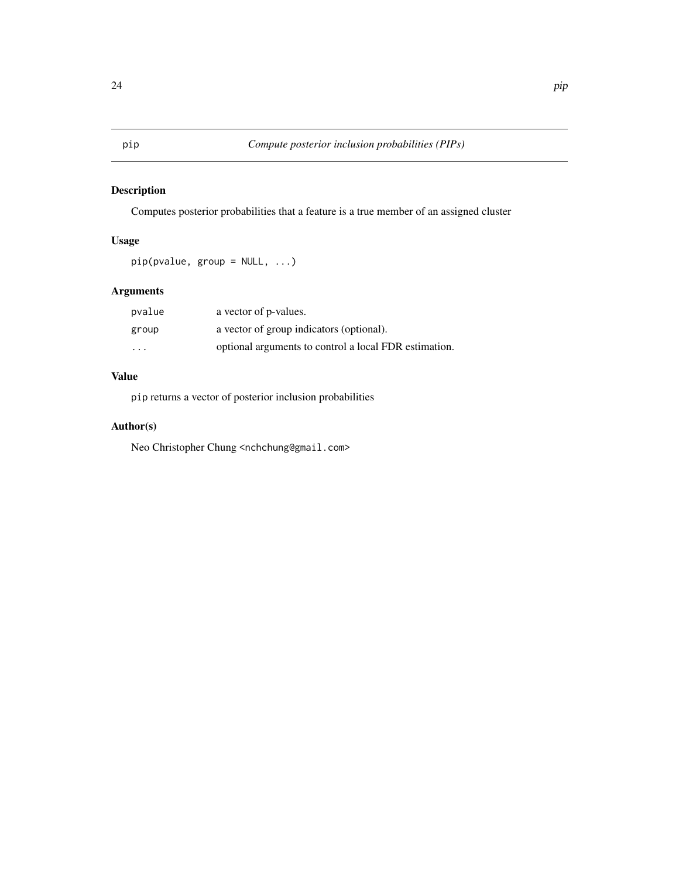# <span id="page-23-1"></span><span id="page-23-0"></span>Description

Computes posterior probabilities that a feature is a true member of an assigned cluster

# Usage

```
pip(pvalue, group = NULL, ...)
```
# Arguments

| pvalue                  | a vector of p-values.                                 |
|-------------------------|-------------------------------------------------------|
| group                   | a vector of group indicators (optional).              |
| $\cdot$ $\cdot$ $\cdot$ | optional arguments to control a local FDR estimation. |

# Value

pip returns a vector of posterior inclusion probabilities

# Author(s)

Neo Christopher Chung <nchchung@gmail.com>